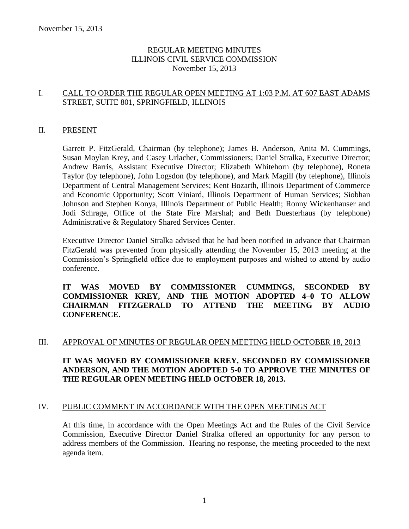# REGULAR MEETING MINUTES ILLINOIS CIVIL SERVICE COMMISSION November 15, 2013

# I. CALL TO ORDER THE REGULAR OPEN MEETING AT 1:03 P.M. AT 607 EAST ADAMS STREET, SUITE 801, SPRINGFIELD, ILLINOIS

#### II. PRESENT

Garrett P. FitzGerald, Chairman (by telephone); James B. Anderson, Anita M. Cummings, Susan Moylan Krey, and Casey Urlacher, Commissioners; Daniel Stralka, Executive Director; Andrew Barris, Assistant Executive Director; Elizabeth Whitehorn (by telephone), Roneta Taylor (by telephone), John Logsdon (by telephone), and Mark Magill (by telephone), Illinois Department of Central Management Services; Kent Bozarth, Illinois Department of Commerce and Economic Opportunity; Scott Viniard, Illinois Department of Human Services; Siobhan Johnson and Stephen Konya, Illinois Department of Public Health; Ronny Wickenhauser and Jodi Schrage, Office of the State Fire Marshal; and Beth Duesterhaus (by telephone) Administrative & Regulatory Shared Services Center.

Executive Director Daniel Stralka advised that he had been notified in advance that Chairman FitzGerald was prevented from physically attending the November 15, 2013 meeting at the Commission's Springfield office due to employment purposes and wished to attend by audio conference.

**IT WAS MOVED BY COMMISSIONER CUMMINGS, SECONDED BY COMMISSIONER KREY, AND THE MOTION ADOPTED 4–0 TO ALLOW CHAIRMAN FITZGERALD TO ATTEND THE MEETING BY AUDIO CONFERENCE.**

#### III. APPROVAL OF MINUTES OF REGULAR OPEN MEETING HELD OCTOBER 18, 2013

# **IT WAS MOVED BY COMMISSIONER KREY, SECONDED BY COMMISSIONER ANDERSON, AND THE MOTION ADOPTED 5-0 TO APPROVE THE MINUTES OF THE REGULAR OPEN MEETING HELD OCTOBER 18, 2013.**

#### IV. PUBLIC COMMENT IN ACCORDANCE WITH THE OPEN MEETINGS ACT

At this time, in accordance with the Open Meetings Act and the Rules of the Civil Service Commission, Executive Director Daniel Stralka offered an opportunity for any person to address members of the Commission. Hearing no response, the meeting proceeded to the next agenda item.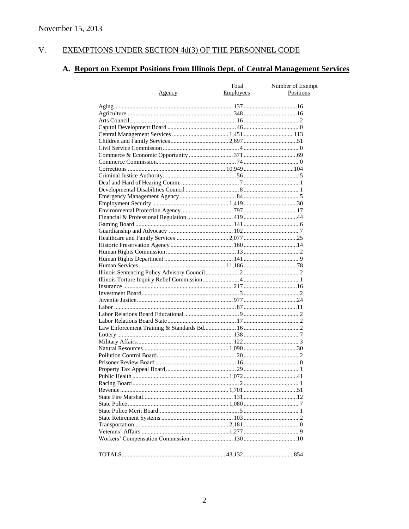#### $V<sub>r</sub>$ EXEMPTIONS UNDER SECTION 4d(3) OF THE PERSONNEL CODE

# A. Report on Exempt Positions from Illinois Dept. of Central Management Services

|               | Total     | Number of Exempt |
|---------------|-----------|------------------|
| <u>Agency</u> | Employees | Positions        |
|               |           |                  |
|               |           |                  |
|               |           |                  |
|               |           |                  |
|               |           |                  |
|               |           |                  |
|               |           |                  |
|               |           |                  |
|               |           |                  |
|               |           |                  |
|               |           |                  |
|               |           |                  |
|               |           |                  |
|               |           |                  |
|               |           |                  |
|               |           |                  |
|               |           |                  |
|               |           |                  |
|               |           |                  |
|               |           |                  |
|               |           |                  |
|               |           |                  |
|               |           |                  |
|               |           |                  |
|               |           |                  |
|               |           |                  |
|               |           |                  |
|               |           |                  |
|               |           |                  |
|               |           |                  |
|               |           |                  |
|               |           |                  |
|               |           |                  |
|               |           |                  |
|               |           |                  |
|               |           |                  |
|               |           |                  |
|               |           |                  |
|               |           |                  |
|               |           |                  |
|               |           |                  |
|               |           |                  |
|               |           |                  |
|               |           |                  |
|               |           |                  |
|               |           |                  |
|               |           |                  |
|               |           |                  |
|               |           |                  |
|               |           |                  |
|               |           |                  |
|               |           |                  |
|               |           |                  |
|               |           |                  |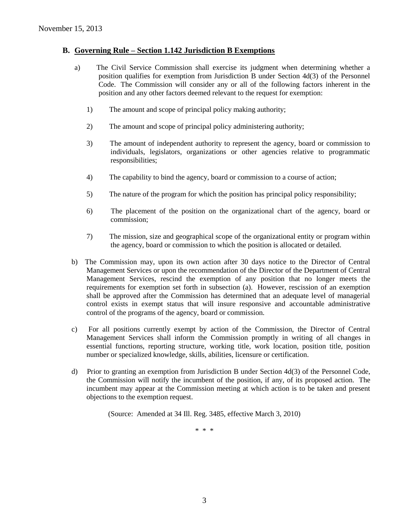#### **B. Governing Rule – Section 1.142 Jurisdiction B Exemptions**

- a) The Civil Service Commission shall exercise its judgment when determining whether a position qualifies for exemption from Jurisdiction B under Section 4d(3) of the Personnel Code. The Commission will consider any or all of the following factors inherent in the position and any other factors deemed relevant to the request for exemption:
	- 1) The amount and scope of principal policy making authority;
	- 2) The amount and scope of principal policy administering authority;
	- 3) The amount of independent authority to represent the agency, board or commission to individuals, legislators, organizations or other agencies relative to programmatic responsibilities;
	- 4) The capability to bind the agency, board or commission to a course of action;
	- 5) The nature of the program for which the position has principal policy responsibility;
	- 6) The placement of the position on the organizational chart of the agency, board or commission;
	- 7) The mission, size and geographical scope of the organizational entity or program within the agency, board or commission to which the position is allocated or detailed.
- b) The Commission may, upon its own action after 30 days notice to the Director of Central Management Services or upon the recommendation of the Director of the Department of Central Management Services, rescind the exemption of any position that no longer meets the requirements for exemption set forth in subsection (a). However, rescission of an exemption shall be approved after the Commission has determined that an adequate level of managerial control exists in exempt status that will insure responsive and accountable administrative control of the programs of the agency, board or commission.
- c) For all positions currently exempt by action of the Commission, the Director of Central Management Services shall inform the Commission promptly in writing of all changes in essential functions, reporting structure, working title, work location, position title, position number or specialized knowledge, skills, abilities, licensure or certification.
- d) Prior to granting an exemption from Jurisdiction B under Section 4d(3) of the Personnel Code, the Commission will notify the incumbent of the position, if any, of its proposed action. The incumbent may appear at the Commission meeting at which action is to be taken and present objections to the exemption request.

(Source: Amended at 34 Ill. Reg. 3485, effective March 3, 2010)

\* \* \*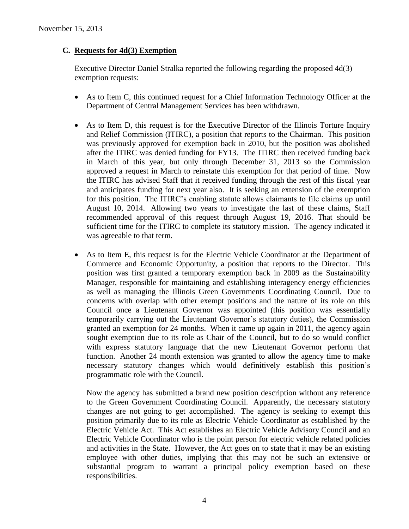# **C. Requests for 4d(3) Exemption**

Executive Director Daniel Stralka reported the following regarding the proposed 4d(3) exemption requests:

- As to Item C, this continued request for a Chief Information Technology Officer at the Department of Central Management Services has been withdrawn.
- As to Item D, this request is for the Executive Director of the Illinois Torture Inquiry and Relief Commission (ITIRC), a position that reports to the Chairman. This position was previously approved for exemption back in 2010, but the position was abolished after the ITIRC was denied funding for FY13. The ITIRC then received funding back in March of this year, but only through December 31, 2013 so the Commission approved a request in March to reinstate this exemption for that period of time. Now the ITIRC has advised Staff that it received funding through the rest of this fiscal year and anticipates funding for next year also. It is seeking an extension of the exemption for this position. The ITIRC's enabling statute allows claimants to file claims up until August 10, 2014. Allowing two years to investigate the last of these claims, Staff recommended approval of this request through August 19, 2016. That should be sufficient time for the ITIRC to complete its statutory mission. The agency indicated it was agreeable to that term.
- As to Item E, this request is for the Electric Vehicle Coordinator at the Department of Commerce and Economic Opportunity, a position that reports to the Director. This position was first granted a temporary exemption back in 2009 as the Sustainability Manager, responsible for maintaining and establishing interagency energy efficiencies as well as managing the Illinois Green Governments Coordinating Council. Due to concerns with overlap with other exempt positions and the nature of its role on this Council once a Lieutenant Governor was appointed (this position was essentially temporarily carrying out the Lieutenant Governor's statutory duties), the Commission granted an exemption for 24 months. When it came up again in 2011, the agency again sought exemption due to its role as Chair of the Council, but to do so would conflict with express statutory language that the new Lieutenant Governor perform that function. Another 24 month extension was granted to allow the agency time to make necessary statutory changes which would definitively establish this position's programmatic role with the Council.

Now the agency has submitted a brand new position description without any reference to the Green Government Coordinating Council. Apparently, the necessary statutory changes are not going to get accomplished. The agency is seeking to exempt this position primarily due to its role as Electric Vehicle Coordinator as established by the Electric Vehicle Act. This Act establishes an Electric Vehicle Advisory Council and an Electric Vehicle Coordinator who is the point person for electric vehicle related policies and activities in the State. However, the Act goes on to state that it may be an existing employee with other duties, implying that this may not be such an extensive or substantial program to warrant a principal policy exemption based on these responsibilities.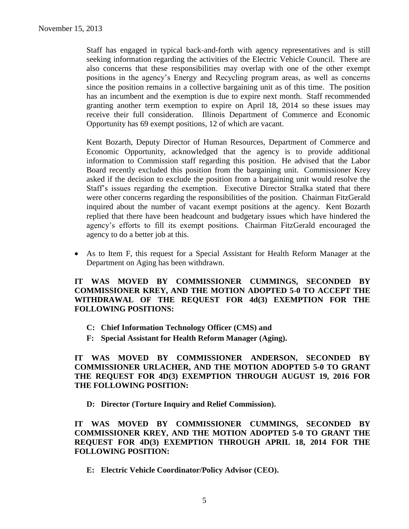Staff has engaged in typical back-and-forth with agency representatives and is still seeking information regarding the activities of the Electric Vehicle Council. There are also concerns that these responsibilities may overlap with one of the other exempt positions in the agency's Energy and Recycling program areas, as well as concerns since the position remains in a collective bargaining unit as of this time. The position has an incumbent and the exemption is due to expire next month. Staff recommended granting another term exemption to expire on April 18, 2014 so these issues may receive their full consideration. Illinois Department of Commerce and Economic Opportunity has 69 exempt positions, 12 of which are vacant.

Kent Bozarth, Deputy Director of Human Resources, Department of Commerce and Economic Opportunity, acknowledged that the agency is to provide additional information to Commission staff regarding this position. He advised that the Labor Board recently excluded this position from the bargaining unit. Commissioner Krey asked if the decision to exclude the position from a bargaining unit would resolve the Staff's issues regarding the exemption. Executive Director Stralka stated that there were other concerns regarding the responsibilities of the position. Chairman FitzGerald inquired about the number of vacant exempt positions at the agency. Kent Bozarth replied that there have been headcount and budgetary issues which have hindered the agency's efforts to fill its exempt positions. Chairman FitzGerald encouraged the agency to do a better job at this.

 As to Item F, this request for a Special Assistant for Health Reform Manager at the Department on Aging has been withdrawn.

**IT WAS MOVED BY COMMISSIONER CUMMINGS, SECONDED BY COMMISSIONER KREY, AND THE MOTION ADOPTED 5-0 TO ACCEPT THE WITHDRAWAL OF THE REQUEST FOR 4d(3) EXEMPTION FOR THE FOLLOWING POSITIONS:**

- **C: Chief Information Technology Officer (CMS) and**
- **F: Special Assistant for Health Reform Manager (Aging).**

**IT WAS MOVED BY COMMISSIONER ANDERSON, SECONDED BY COMMISSIONER URLACHER, AND THE MOTION ADOPTED 5-0 TO GRANT THE REQUEST FOR 4D(3) EXEMPTION THROUGH AUGUST 19, 2016 FOR THE FOLLOWING POSITION:**

**D: Director (Torture Inquiry and Relief Commission).**

**IT WAS MOVED BY COMMISSIONER CUMMINGS, SECONDED BY COMMISSIONER KREY, AND THE MOTION ADOPTED 5-0 TO GRANT THE REQUEST FOR 4D(3) EXEMPTION THROUGH APRIL 18, 2014 FOR THE FOLLOWING POSITION:**

**E: Electric Vehicle Coordinator/Policy Advisor (CEO).**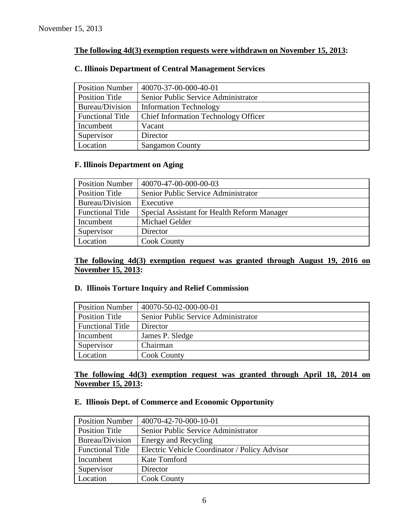# **The following 4d(3) exemption requests were withdrawn on November 15, 2013:**

| <b>Position Number</b>  | 40070-37-00-000-40-01                       |
|-------------------------|---------------------------------------------|
| <b>Position Title</b>   | Senior Public Service Administrator         |
| Bureau/Division         | <b>Information Technology</b>               |
| <b>Functional Title</b> | <b>Chief Information Technology Officer</b> |
| Incumbent               | Vacant                                      |
| Supervisor              | Director                                    |
| Location                | <b>Sangamon County</b>                      |

# **C. Illinois Department of Central Management Services**

# **F. Illinois Department on Aging**

| <b>Position Number</b>  | 40070-47-00-000-00-03                       |
|-------------------------|---------------------------------------------|
| <b>Position Title</b>   | Senior Public Service Administrator         |
| Bureau/Division         | Executive                                   |
| <b>Functional Title</b> | Special Assistant for Health Reform Manager |
| Incumbent               | Michael Gelder                              |
| Supervisor              | Director                                    |
| Location                | <b>Cook County</b>                          |

# **The following 4d(3) exemption request was granted through August 19, 2016 on November 15, 2013:**

# **D. Illinois Torture Inquiry and Relief Commission**

| <b>Position Number</b>  | 40070-50-02-000-00-01               |
|-------------------------|-------------------------------------|
| Position Title          | Senior Public Service Administrator |
| <b>Functional Title</b> | Director                            |
| Incumbent               | James P. Sledge                     |
| Supervisor              | Chairman                            |
| Location                | <b>Cook County</b>                  |

#### **The following 4d(3) exemption request was granted through April 18, 2014 on November 15, 2013:**

# **E. Illinois Dept. of Commerce and Economic Opportunity**

| <b>Position Number</b>  | 40070-42-70-000-10-01                         |
|-------------------------|-----------------------------------------------|
| <b>Position Title</b>   | Senior Public Service Administrator           |
| Bureau/Division         | Energy and Recycling                          |
| <b>Functional Title</b> | Electric Vehicle Coordinator / Policy Advisor |
| Incumbent               | Kate Tomford                                  |
| Supervisor              | Director                                      |
| Location                | <b>Cook County</b>                            |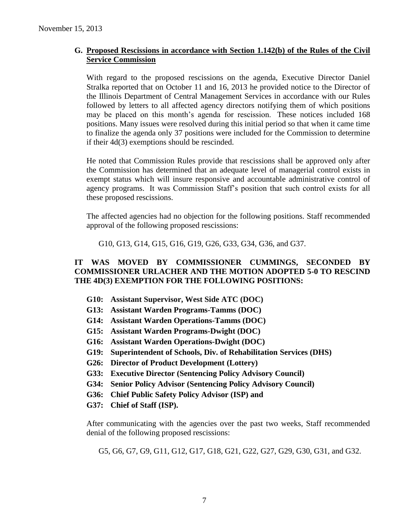# **G. Proposed Rescissions in accordance with Section 1.142(b) of the Rules of the Civil Service Commission**

With regard to the proposed rescissions on the agenda, Executive Director Daniel Stralka reported that on October 11 and 16, 2013 he provided notice to the Director of the Illinois Department of Central Management Services in accordance with our Rules followed by letters to all affected agency directors notifying them of which positions may be placed on this month's agenda for rescission. These notices included 168 positions. Many issues were resolved during this initial period so that when it came time to finalize the agenda only 37 positions were included for the Commission to determine if their 4d(3) exemptions should be rescinded.

He noted that Commission Rules provide that rescissions shall be approved only after the Commission has determined that an adequate level of managerial control exists in exempt status which will insure responsive and accountable administrative control of agency programs. It was Commission Staff's position that such control exists for all these proposed rescissions.

The affected agencies had no objection for the following positions. Staff recommended approval of the following proposed rescissions:

G10, G13, G14, G15, G16, G19, G26, G33, G34, G36, and G37.

# **IT WAS MOVED BY COMMISSIONER CUMMINGS, SECONDED BY COMMISSIONER URLACHER AND THE MOTION ADOPTED 5-0 TO RESCIND THE 4D(3) EXEMPTION FOR THE FOLLOWING POSITIONS:**

- **G10: Assistant Supervisor, West Side ATC (DOC)**
- **G13: Assistant Warden Programs-Tamms (DOC)**
- **G14: Assistant Warden Operations-Tamms (DOC)**
- **G15: Assistant Warden Programs-Dwight (DOC)**
- **G16: Assistant Warden Operations-Dwight (DOC)**
- **G19: Superintendent of Schools, Div. of Rehabilitation Services (DHS)**
- **G26: Director of Product Development (Lottery)**
- **G33: Executive Director (Sentencing Policy Advisory Council)**
- **G34: Senior Policy Advisor (Sentencing Policy Advisory Council)**
- **G36: Chief Public Safety Policy Advisor (ISP) and**
- **G37: Chief of Staff (ISP).**

After communicating with the agencies over the past two weeks, Staff recommended denial of the following proposed rescissions:

G5, G6, G7, G9, G11, G12, G17, G18, G21, G22, G27, G29, G30, G31, and G32.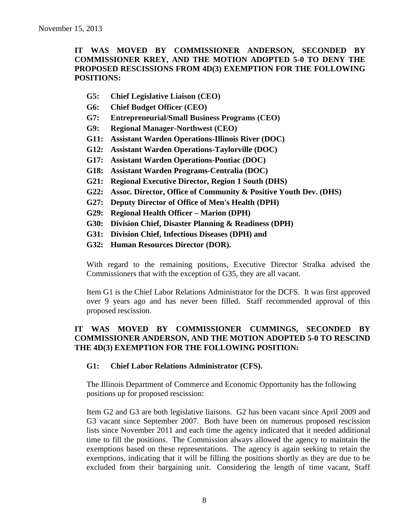# **IT WAS MOVED BY COMMISSIONER ANDERSON, SECONDED BY COMMISSIONER KREY, AND THE MOTION ADOPTED 5-0 TO DENY THE PROPOSED RESCISSIONS FROM 4D(3) EXEMPTION FOR THE FOLLOWING POSITIONS:**

- **G5: Chief Legislative Liaison (CEO)**
- **G6: Chief Budget Officer (CEO)**
- **G7: Entrepreneurial/Small Business Programs (CEO)**
- **G9: Regional Manager-Northwest (CEO)**
- **G11: Assistant Warden Operations-Illinois River (DOC)**
- **G12: Assistant Warden Operations-Taylorville (DOC)**
- **G17: Assistant Warden Operations-Pontiac (DOC)**
- **G18: Assistant Warden Programs-Centralia (DOC)**
- **G21: Regional Executive Director, Region 1 South (DHS)**
- **G22: Assoc. Director, Office of Community & Positive Youth Dev. (DHS)**
- **G27: Deputy Director of Office of Men's Health (DPH)**
- **G29: Regional Health Officer – Marion (DPH)**
- **G30: Division Chief, Disaster Planning & Readiness (DPH)**
- **G31: Division Chief, Infectious Diseases (DPH) and**
- **G32: Human Resources Director (DOR).**

With regard to the remaining positions, Executive Director Stralka advised the Commissioners that with the exception of G35, they are all vacant.

Item G1 is the Chief Labor Relations Administrator for the DCFS. It was first approved over 9 years ago and has never been filled. Staff recommended approval of this proposed rescission.

# **IT WAS MOVED BY COMMISSIONER CUMMINGS, SECONDED BY COMMISSIONER ANDERSON, AND THE MOTION ADOPTED 5-0 TO RESCIND THE 4D(3) EXEMPTION FOR THE FOLLOWING POSITION:**

#### **G1: Chief Labor Relations Administrator (CFS).**

The Illinois Department of Commerce and Economic Opportunity has the following positions up for proposed rescission:

Item G2 and G3 are both legislative liaisons. G2 has been vacant since April 2009 and G3 vacant since September 2007. Both have been on numerous proposed rescission lists since November 2011 and each time the agency indicated that it needed additional time to fill the positions. The Commission always allowed the agency to maintain the exemptions based on these representations. The agency is again seeking to retain the exemptions, indicating that it will be filling the positions shortly as they are due to be excluded from their bargaining unit. Considering the length of time vacant, Staff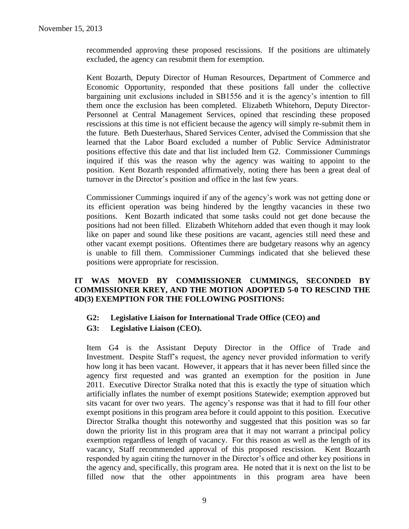recommended approving these proposed rescissions. If the positions are ultimately excluded, the agency can resubmit them for exemption.

Kent Bozarth, Deputy Director of Human Resources, Department of Commerce and Economic Opportunity, responded that these positions fall under the collective bargaining unit exclusions included in SB1556 and it is the agency's intention to fill them once the exclusion has been completed. Elizabeth Whitehorn, Deputy Director-Personnel at Central Management Services, opined that rescinding these proposed rescissions at this time is not efficient because the agency will simply re-submit them in the future. Beth Duesterhaus, Shared Services Center, advised the Commission that she learned that the Labor Board excluded a number of Public Service Administrator positions effective this date and that list included Item G2. Commissioner Cummings inquired if this was the reason why the agency was waiting to appoint to the position. Kent Bozarth responded affirmatively, noting there has been a great deal of turnover in the Director's position and office in the last few years.

Commissioner Cummings inquired if any of the agency's work was not getting done or its efficient operation was being hindered by the lengthy vacancies in these two positions. Kent Bozarth indicated that some tasks could not get done because the positions had not been filled. Elizabeth Whitehorn added that even though it may look like on paper and sound like these positions are vacant, agencies still need these and other vacant exempt positions. Oftentimes there are budgetary reasons why an agency is unable to fill them. Commissioner Cummings indicated that she believed these positions were appropriate for rescission.

# **IT WAS MOVED BY COMMISSIONER CUMMINGS, SECONDED BY COMMISSIONER KREY, AND THE MOTION ADOPTED 5-0 TO RESCIND THE 4D(3) EXEMPTION FOR THE FOLLOWING POSITIONS:**

- **G2: Legislative Liaison for International Trade Office (CEO) and**
- **G3: Legislative Liaison (CEO).**

Item G4 is the Assistant Deputy Director in the Office of Trade and Investment. Despite Staff's request, the agency never provided information to verify how long it has been vacant. However, it appears that it has never been filled since the agency first requested and was granted an exemption for the position in June 2011. Executive Director Stralka noted that this is exactly the type of situation which artificially inflates the number of exempt positions Statewide; exemption approved but sits vacant for over two years. The agency's response was that it had to fill four other exempt positions in this program area before it could appoint to this position. Executive Director Stralka thought this noteworthy and suggested that this position was so far down the priority list in this program area that it may not warrant a principal policy exemption regardless of length of vacancy. For this reason as well as the length of its vacancy, Staff recommended approval of this proposed rescission. Kent Bozarth responded by again citing the turnover in the Director's office and other key positions in the agency and, specifically, this program area. He noted that it is next on the list to be filled now that the other appointments in this program area have been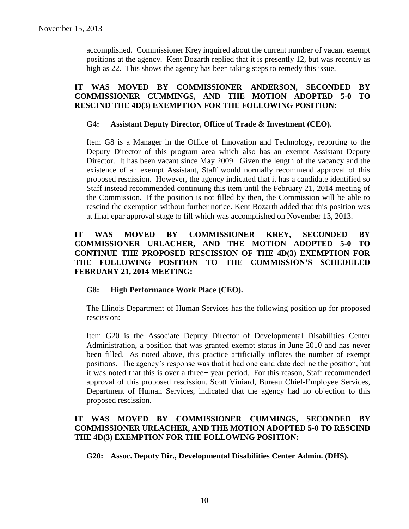accomplished. Commissioner Krey inquired about the current number of vacant exempt positions at the agency. Kent Bozarth replied that it is presently 12, but was recently as high as 22. This shows the agency has been taking steps to remedy this issue.

# **IT WAS MOVED BY COMMISSIONER ANDERSON, SECONDED BY COMMISSIONER CUMMINGS, AND THE MOTION ADOPTED 5-0 TO RESCIND THE 4D(3) EXEMPTION FOR THE FOLLOWING POSITION:**

#### **G4: Assistant Deputy Director, Office of Trade & Investment (CEO).**

Item G8 is a Manager in the Office of Innovation and Technology, reporting to the Deputy Director of this program area which also has an exempt Assistant Deputy Director. It has been vacant since May 2009. Given the length of the vacancy and the existence of an exempt Assistant, Staff would normally recommend approval of this proposed rescission. However, the agency indicated that it has a candidate identified so Staff instead recommended continuing this item until the February 21, 2014 meeting of the Commission. If the position is not filled by then, the Commission will be able to rescind the exemption without further notice. Kent Bozarth added that this position was at final epar approval stage to fill which was accomplished on November 13, 2013.

# **IT WAS MOVED BY COMMISSIONER KREY, SECONDED BY COMMISSIONER URLACHER, AND THE MOTION ADOPTED 5-0 TO CONTINUE THE PROPOSED RESCISSION OF THE 4D(3) EXEMPTION FOR THE FOLLOWING POSITION TO THE COMMISSION'S SCHEDULED FEBRUARY 21, 2014 MEETING:**

#### **G8: High Performance Work Place (CEO).**

The Illinois Department of Human Services has the following position up for proposed rescission:

Item G20 is the Associate Deputy Director of Developmental Disabilities Center Administration, a position that was granted exempt status in June 2010 and has never been filled. As noted above, this practice artificially inflates the number of exempt positions. The agency's response was that it had one candidate decline the position, but it was noted that this is over a three+ year period. For this reason, Staff recommended approval of this proposed rescission. Scott Viniard, Bureau Chief-Employee Services, Department of Human Services, indicated that the agency had no objection to this proposed rescission.

# **IT WAS MOVED BY COMMISSIONER CUMMINGS, SECONDED BY COMMISSIONER URLACHER, AND THE MOTION ADOPTED 5-0 TO RESCIND THE 4D(3) EXEMPTION FOR THE FOLLOWING POSITION:**

**G20: Assoc. Deputy Dir., Developmental Disabilities Center Admin. (DHS).**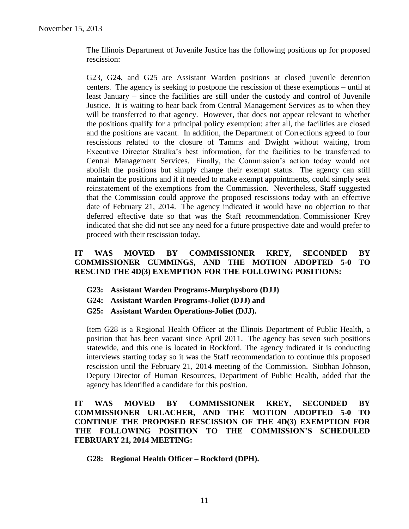The Illinois Department of Juvenile Justice has the following positions up for proposed rescission:

G23, G24, and G25 are Assistant Warden positions at closed juvenile detention centers. The agency is seeking to postpone the rescission of these exemptions – until at least January – since the facilities are still under the custody and control of Juvenile Justice. It is waiting to hear back from Central Management Services as to when they will be transferred to that agency. However, that does not appear relevant to whether the positions qualify for a principal policy exemption; after all, the facilities are closed and the positions are vacant. In addition, the Department of Corrections agreed to four rescissions related to the closure of Tamms and Dwight without waiting, from Executive Director Stralka's best information, for the facilities to be transferred to Central Management Services. Finally, the Commission's action today would not abolish the positions but simply change their exempt status. The agency can still maintain the positions and if it needed to make exempt appointments, could simply seek reinstatement of the exemptions from the Commission. Nevertheless, Staff suggested that the Commission could approve the proposed rescissions today with an effective date of February 21, 2014. The agency indicated it would have no objection to that deferred effective date so that was the Staff recommendation. Commissioner Krey indicated that she did not see any need for a future prospective date and would prefer to proceed with their rescission today.

# **IT WAS MOVED BY COMMISSIONER KREY, SECONDED BY COMMISSIONER CUMMINGS, AND THE MOTION ADOPTED 5-0 TO RESCIND THE 4D(3) EXEMPTION FOR THE FOLLOWING POSITIONS:**

- **G23: Assistant Warden Programs-Murphysboro (DJJ)**
- **G24: Assistant Warden Programs-Joliet (DJJ) and**
- **G25: Assistant Warden Operations-Joliet (DJJ).**

Item G28 is a Regional Health Officer at the Illinois Department of Public Health, a position that has been vacant since April 2011. The agency has seven such positions statewide, and this one is located in Rockford. The agency indicated it is conducting interviews starting today so it was the Staff recommendation to continue this proposed rescission until the February 21, 2014 meeting of the Commission. Siobhan Johnson, Deputy Director of Human Resources, Department of Public Health, added that the agency has identified a candidate for this position.

**IT WAS MOVED BY COMMISSIONER KREY, SECONDED BY COMMISSIONER URLACHER, AND THE MOTION ADOPTED 5-0 TO CONTINUE THE PROPOSED RESCISSION OF THE 4D(3) EXEMPTION FOR THE FOLLOWING POSITION TO THE COMMISSION'S SCHEDULED FEBRUARY 21, 2014 MEETING:**

**G28: Regional Health Officer – Rockford (DPH).**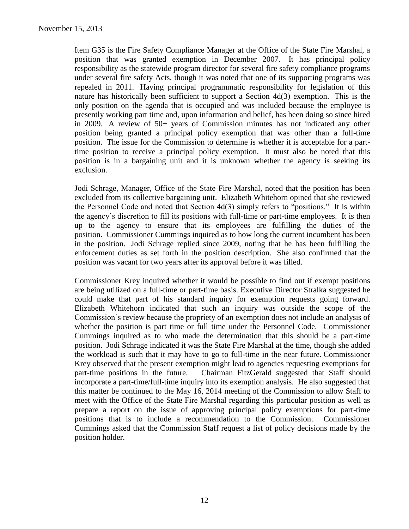Item G35 is the Fire Safety Compliance Manager at the Office of the State Fire Marshal, a position that was granted exemption in December 2007. It has principal policy responsibility as the statewide program director for several fire safety compliance programs under several fire safety Acts, though it was noted that one of its supporting programs was repealed in 2011. Having principal programmatic responsibility for legislation of this nature has historically been sufficient to support a Section 4d(3) exemption. This is the only position on the agenda that is occupied and was included because the employee is presently working part time and, upon information and belief, has been doing so since hired in 2009. A review of 50+ years of Commission minutes has not indicated any other position being granted a principal policy exemption that was other than a full-time position. The issue for the Commission to determine is whether it is acceptable for a parttime position to receive a principal policy exemption. It must also be noted that this position is in a bargaining unit and it is unknown whether the agency is seeking its exclusion.

Jodi Schrage, Manager, Office of the State Fire Marshal, noted that the position has been excluded from its collective bargaining unit. Elizabeth Whitehorn opined that she reviewed the Personnel Code and noted that Section 4d(3) simply refers to "positions." It is within the agency's discretion to fill its positions with full-time or part-time employees. It is then up to the agency to ensure that its employees are fulfilling the duties of the position. Commissioner Cummings inquired as to how long the current incumbent has been in the position. Jodi Schrage replied since 2009, noting that he has been fulfilling the enforcement duties as set forth in the position description. She also confirmed that the position was vacant for two years after its approval before it was filled.

Commissioner Krey inquired whether it would be possible to find out if exempt positions are being utilized on a full-time or part-time basis. Executive Director Stralka suggested he could make that part of his standard inquiry for exemption requests going forward. Elizabeth Whitehorn indicated that such an inquiry was outside the scope of the Commission's review because the propriety of an exemption does not include an analysis of whether the position is part time or full time under the Personnel Code. Commissioner Cummings inquired as to who made the determination that this should be a part-time position. Jodi Schrage indicated it was the State Fire Marshal at the time, though she added the workload is such that it may have to go to full-time in the near future. Commissioner Krey observed that the present exemption might lead to agencies requesting exemptions for part-time positions in the future. Chairman FitzGerald suggested that Staff should incorporate a part-time/full-time inquiry into its exemption analysis. He also suggested that this matter be continued to the May 16, 2014 meeting of the Commission to allow Staff to meet with the Office of the State Fire Marshal regarding this particular position as well as prepare a report on the issue of approving principal policy exemptions for part-time positions that is to include a recommendation to the Commission. Commissioner Cummings asked that the Commission Staff request a list of policy decisions made by the position holder.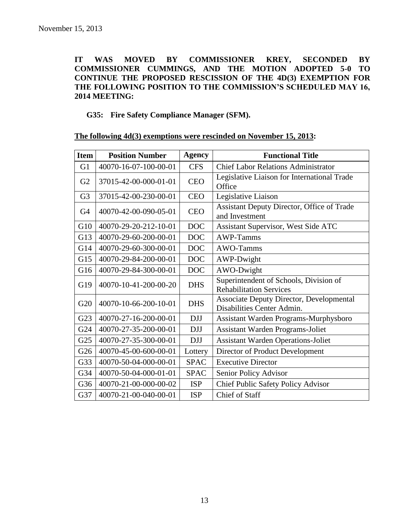# **IT WAS MOVED BY COMMISSIONER KREY, SECONDED BY COMMISSIONER CUMMINGS, AND THE MOTION ADOPTED 5-0 TO CONTINUE THE PROPOSED RESCISSION OF THE 4D(3) EXEMPTION FOR THE FOLLOWING POSITION TO THE COMMISSION'S SCHEDULED MAY 16, 2014 MEETING:**

# **G35: Fire Safety Compliance Manager (SFM).**

|  |  | The following 4d(3) exemptions were rescinded on November 15, 2013: |  |  |  |
|--|--|---------------------------------------------------------------------|--|--|--|
|--|--|---------------------------------------------------------------------|--|--|--|

| <b>Item</b>     | <b>Position Number</b> | Agency      | <b>Functional Title</b>                                                       |  |
|-----------------|------------------------|-------------|-------------------------------------------------------------------------------|--|
| G <sub>1</sub>  | 40070-16-07-100-00-01  | <b>CFS</b>  | <b>Chief Labor Relations Administrator</b>                                    |  |
| G2              | 37015-42-00-000-01-01  | <b>CEO</b>  | Legislative Liaison for International Trade<br>Office                         |  |
| G <sub>3</sub>  | 37015-42-00-230-00-01  | <b>CEO</b>  | Legislative Liaison                                                           |  |
| G4              | 40070-42-00-090-05-01  | <b>CEO</b>  | Assistant Deputy Director, Office of Trade<br>and Investment                  |  |
| G10             | 40070-29-20-212-10-01  | <b>DOC</b>  | Assistant Supervisor, West Side ATC                                           |  |
| G13             | 40070-29-60-200-00-01  | <b>DOC</b>  | AWP-Tamms                                                                     |  |
| G14             | 40070-29-60-300-00-01  | <b>DOC</b>  | AWO-Tamms                                                                     |  |
| G15             | 40070-29-84-200-00-01  | <b>DOC</b>  | AWP-Dwight                                                                    |  |
| G16             | 40070-29-84-300-00-01  | <b>DOC</b>  | AWO-Dwight                                                                    |  |
| G19             | 40070-10-41-200-00-20  | <b>DHS</b>  | Superintendent of Schools, Division of<br><b>Rehabilitation Services</b>      |  |
| G20             | 40070-10-66-200-10-01  | <b>DHS</b>  | <b>Associate Deputy Director, Developmental</b><br>Disabilities Center Admin. |  |
| G23             | 40070-27-16-200-00-01  | <b>DJJ</b>  | Assistant Warden Programs-Murphysboro                                         |  |
| G24             | 40070-27-35-200-00-01  | <b>DJJ</b>  | <b>Assistant Warden Programs-Joliet</b>                                       |  |
| G <sub>25</sub> | 40070-27-35-300-00-01  | <b>DJJ</b>  | <b>Assistant Warden Operations-Joliet</b>                                     |  |
| G26             | 40070-45-00-600-00-01  | Lottery     | Director of Product Development                                               |  |
| G33             | 40070-50-04-000-00-01  | <b>SPAC</b> | <b>Executive Director</b>                                                     |  |
| G34             | 40070-50-04-000-01-01  | <b>SPAC</b> | Senior Policy Advisor                                                         |  |
| G36             | 40070-21-00-000-00-02  | <b>ISP</b>  | Chief Public Safety Policy Advisor                                            |  |
| G37             | 40070-21-00-040-00-01  | <b>ISP</b>  | <b>Chief of Staff</b>                                                         |  |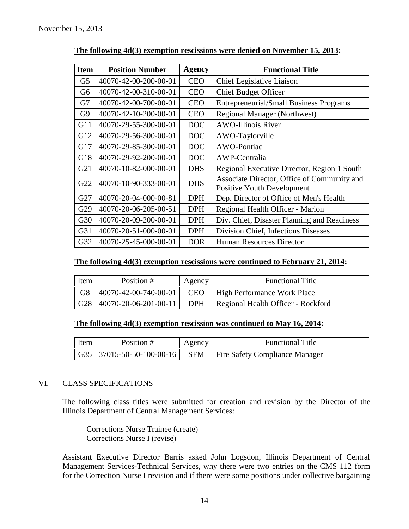| <b>Item</b>    | <b>Position Number</b> | Agency     | <b>Functional Title</b>                                                          |
|----------------|------------------------|------------|----------------------------------------------------------------------------------|
| G <sub>5</sub> | 40070-42-00-200-00-01  | <b>CEO</b> | Chief Legislative Liaison                                                        |
| G <sub>6</sub> | 40070-42-00-310-00-01  | <b>CEO</b> | <b>Chief Budget Officer</b>                                                      |
| G7             | 40070-42-00-700-00-01  | <b>CEO</b> | <b>Entrepreneurial/Small Business Programs</b>                                   |
| G9             | 40070-42-10-200-00-01  | <b>CEO</b> | <b>Regional Manager (Northwest)</b>                                              |
| G11            | 40070-29-55-300-00-01  | <b>DOC</b> | <b>AWO-Illinois River</b>                                                        |
| G12            | 40070-29-56-300-00-01  | <b>DOC</b> | AWO-Taylorville                                                                  |
| G17            | 40070-29-85-300-00-01  | <b>DOC</b> | AWO-Pontiac                                                                      |
| G18            | 40070-29-92-200-00-01  | <b>DOC</b> | AWP-Centralia                                                                    |
| G21            | 40070-10-82-000-00-01  | <b>DHS</b> | Regional Executive Director, Region 1 South                                      |
| G22            | 40070-10-90-333-00-01  | <b>DHS</b> | Associate Director, Office of Community and<br><b>Positive Youth Development</b> |
| G27            | 40070-20-04-000-00-81  | <b>DPH</b> | Dep. Director of Office of Men's Health                                          |
| G29            | 40070-20-06-205-00-51  | <b>DPH</b> | Regional Health Officer - Marion                                                 |
| G30            | 40070-20-09-200-00-01  | <b>DPH</b> | Div. Chief, Disaster Planning and Readiness                                      |
| G31            | 40070-20-51-000-00-01  | <b>DPH</b> | Division Chief, Infectious Diseases                                              |
| G32            | 40070-25-45-000-00-01  | <b>DOR</b> | <b>Human Resources Director</b>                                                  |

**The following 4d(3) exemption rescissions were denied on November 15, 2013:**

# **The following 4d(3) exemption rescissions were continued to February 21, 2014:**

| Item | Position #                   | Agency     | <b>Functional Title</b>            |
|------|------------------------------|------------|------------------------------------|
| G8   | 40070-42-00-740-00-01        | <b>CEO</b> | <b>High Performance Work Place</b> |
|      | G28 $ 40070-20-06-201-00-11$ | <b>DPH</b> | Regional Health Officer - Rockford |

# **The following 4d(3) exemption rescission was continued to May 16, 2014:**

| Item | Position # | Agency | <b>Functional Title</b>                                                                  |
|------|------------|--------|------------------------------------------------------------------------------------------|
|      |            |        | $\mid$ G35 $\mid$ 37015-50-50-100-00-16 $\mid$ SFM $\mid$ Fire Safety Compliance Manager |

#### VI. CLASS SPECIFICATIONS

The following class titles were submitted for creation and revision by the Director of the Illinois Department of Central Management Services:

Corrections Nurse Trainee (create) Corrections Nurse I (revise)

Assistant Executive Director Barris asked John Logsdon, Illinois Department of Central Management Services-Technical Services, why there were two entries on the CMS 112 form for the Correction Nurse I revision and if there were some positions under collective bargaining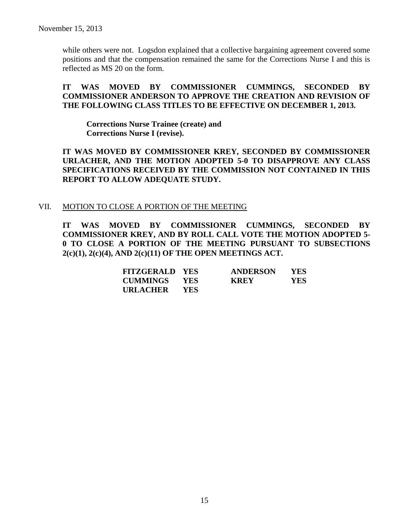while others were not. Logsdon explained that a collective bargaining agreement covered some positions and that the compensation remained the same for the Corrections Nurse I and this is reflected as MS 20 on the form.

# **IT WAS MOVED BY COMMISSIONER CUMMINGS, SECONDED BY COMMISSIONER ANDERSON TO APPROVE THE CREATION AND REVISION OF THE FOLLOWING CLASS TITLES TO BE EFFECTIVE ON DECEMBER 1, 2013.**

**Corrections Nurse Trainee (create) and Corrections Nurse I (revise).**

**IT WAS MOVED BY COMMISSIONER KREY, SECONDED BY COMMISSIONER URLACHER, AND THE MOTION ADOPTED 5-0 TO DISAPPROVE ANY CLASS SPECIFICATIONS RECEIVED BY THE COMMISSION NOT CONTAINED IN THIS REPORT TO ALLOW ADEQUATE STUDY.** 

#### VII. MOTION TO CLOSE A PORTION OF THE MEETING

**IT WAS MOVED BY COMMISSIONER CUMMINGS, SECONDED BY COMMISSIONER KREY, AND BY ROLL CALL VOTE THE MOTION ADOPTED 5- 0 TO CLOSE A PORTION OF THE MEETING PURSUANT TO SUBSECTIONS 2(c)(1), 2(c)(4), AND 2(c)(11) OF THE OPEN MEETINGS ACT.**

| <b>FITZGERALD YES</b> |       | <b>ANDERSON</b> | YES.       |
|-----------------------|-------|-----------------|------------|
| <b>CUMMINGS YES</b>   |       | <b>KREY</b>     | <b>YES</b> |
| URLACHER              | - YES |                 |            |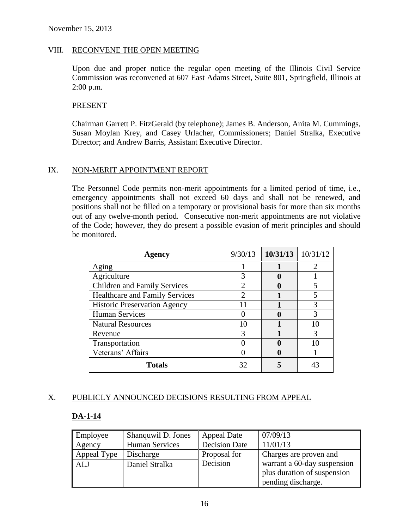#### VIII. RECONVENE THE OPEN MEETING

Upon due and proper notice the regular open meeting of the Illinois Civil Service Commission was reconvened at 607 East Adams Street, Suite 801, Springfield, Illinois at 2:00 p.m.

#### PRESENT

Chairman Garrett P. FitzGerald (by telephone); James B. Anderson, Anita M. Cummings, Susan Moylan Krey, and Casey Urlacher, Commissioners; Daniel Stralka, Executive Director; and Andrew Barris, Assistant Executive Director.

#### IX. NON-MERIT APPOINTMENT REPORT

The Personnel Code permits non-merit appointments for a limited period of time, i.e., emergency appointments shall not exceed 60 days and shall not be renewed, and positions shall not be filled on a temporary or provisional basis for more than six months out of any twelve-month period. Consecutive non-merit appointments are not violative of the Code; however, they do present a possible evasion of merit principles and should be monitored.

| <b>Agency</b>                         | 9/30/13 | $10/31/13$ 10/31/12 |
|---------------------------------------|---------|---------------------|
| Aging                                 |         |                     |
| Agriculture                           |         |                     |
| <b>Children and Family Services</b>   |         |                     |
| <b>Healthcare and Family Services</b> |         |                     |
| <b>Historic Preservation Agency</b>   | 11      |                     |
| <b>Human Services</b>                 |         |                     |
| <b>Natural Resources</b>              | 10      |                     |
| Revenue                               | 3       |                     |
| Transportation                        |         |                     |
| Veterans' Affairs                     |         |                     |
| <b>Totals</b>                         | 32      |                     |

#### X. PUBLICLY ANNOUNCED DECISIONS RESULTING FROM APPEAL

#### **DA-1-14**

| Employee    | Shanquwil D. Jones    | <b>Appeal Date</b>   | 07/09/13                    |
|-------------|-----------------------|----------------------|-----------------------------|
| Agency      | <b>Human Services</b> | <b>Decision Date</b> | 11/01/13                    |
| Appeal Type | Discharge             | Proposal for         | Charges are proven and      |
| <b>ALJ</b>  | Daniel Stralka        | Decision             | warrant a 60-day suspension |
|             |                       |                      | plus duration of suspension |
|             |                       |                      | pending discharge.          |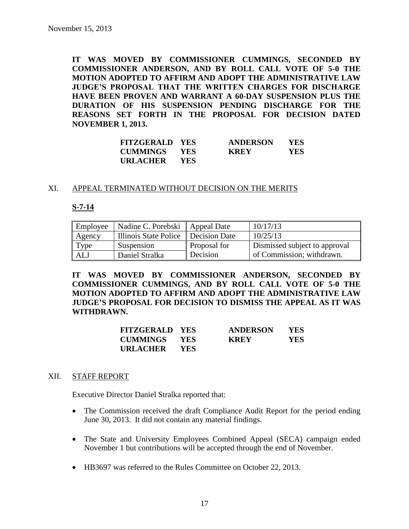**IT WAS MOVED BY COMMISSIONER CUMMINGS, SECONDED BY COMMISSIONER ANDERSON, AND BY ROLL CALL VOTE OF 5-0 THE MOTION ADOPTED TO AFFIRM AND ADOPT THE ADMINISTRATIVE LAW JUDGE'S PROPOSAL THAT THE WRITTEN CHARGES FOR DISCHARGE HAVE BEEN PROVEN AND WARRANT A 60-DAY SUSPENSION PLUS THE DURATION OF HIS SUSPENSION PENDING DISCHARGE FOR THE REASONS SET FORTH IN THE PROPOSAL FOR DECISION DATED NOVEMBER 1, 2013.**

| <b>FITZGERALD YES</b> |            | <b>ANDERSON</b> | <b>YES</b> |
|-----------------------|------------|-----------------|------------|
| <b>CUMMINGS YES</b>   |            | <b>KREY</b>     | <b>YES</b> |
| URLACHER              | <b>YES</b> |                 |            |

#### XI. APPEAL TERMINATED WITHOUT DECISION ON THE MERITS

#### **S-7-14**

| Employee | Nadine C. Porebski    | Appeal Date   | 10/17/13                      |
|----------|-----------------------|---------------|-------------------------------|
| Agency   | Illinois State Police | Decision Date | 10/25/13                      |
| Type     | Suspension            | Proposal for  | Dismissed subject to approval |
| ALJ      | Daniel Stralka        | Decision      | of Commission; withdrawn.     |

**IT WAS MOVED BY COMMISSIONER ANDERSON, SECONDED BY COMMISSIONER CUMMINGS, AND BY ROLL CALL VOTE OF 5-0 THE MOTION ADOPTED TO AFFIRM AND ADOPT THE ADMINISTRATIVE LAW JUDGE'S PROPOSAL FOR DECISION TO DISMISS THE APPEAL AS IT WAS WITHDRAWN.**

| <b>FITZGERALD YES</b> |            | <b>ANDERSON</b> | <b>YES</b> |
|-----------------------|------------|-----------------|------------|
| <b>CUMMINGS YES</b>   |            | <b>KREY</b>     | YES.       |
| <b>URLACHER</b>       | <b>YES</b> |                 |            |

#### XII. STAFF REPORT

Executive Director Daniel Stralka reported that:

- The Commission received the draft Compliance Audit Report for the period ending June 30, 2013. It did not contain any material findings.
- The State and University Employees Combined Appeal (SECA) campaign ended November 1 but contributions will be accepted through the end of November.
- HB3697 was referred to the Rules Committee on October 22, 2013.